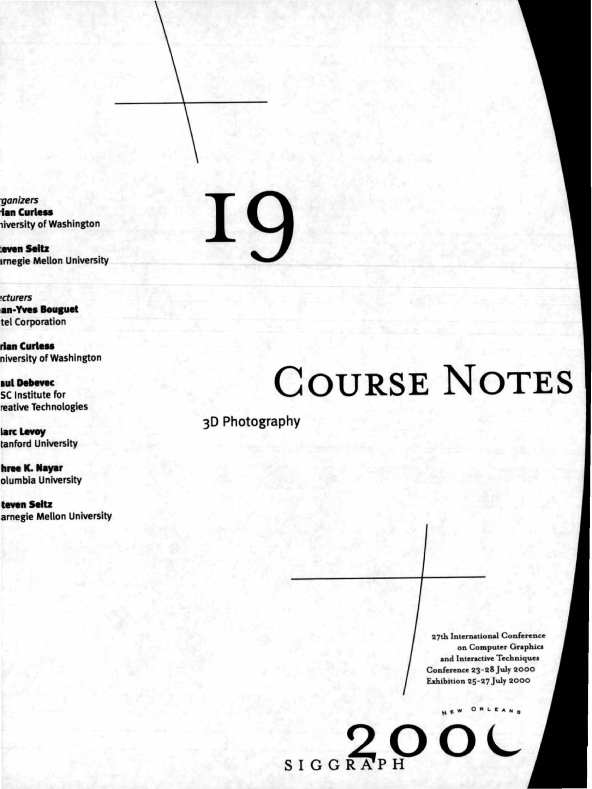ganizers **ian Curless** liverslty of Washington

**teven Seitz Innegie Mellon University** 

cturers an-Yves **Bouguet** tel Corporation

**rian Curless** niverslty of Washington

aul Debevec SC Institute for reative Technologies

larc Levoy tanford University

**hree K. Nayar** olumbla University

**teven Seltz** amegie Mellon University

# $\bf{I}$  $\mathbf Q$

# COURSE NOTES

3D Photography

27th International Conference on Computer Graphics and Interactive Techniques Conference 23-28 July 2000 Exhibition 25-27 July 2000

NEW ORLEANS

 $\bigcap$ 

SIGGRAPH O.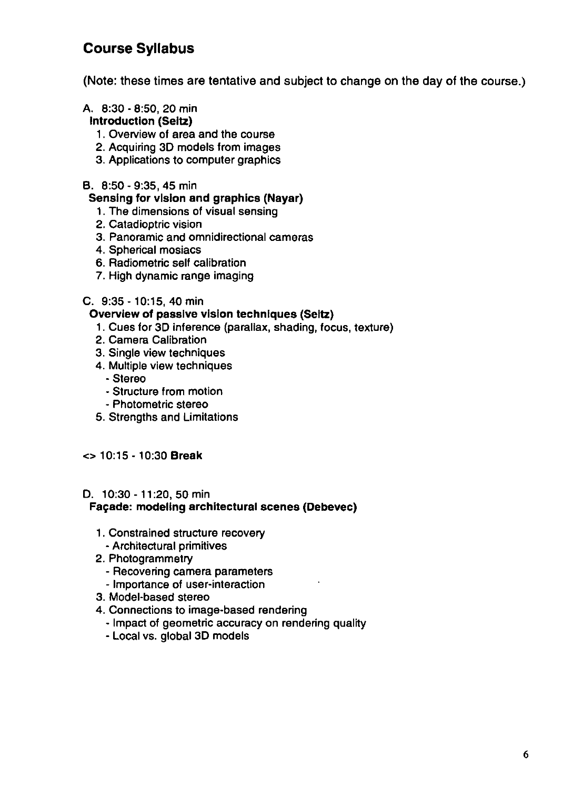# **Course Syllabus**

(Note: these times are tentative and subject to change on the day of the course.)

#### A. 8:30 - 8:50, 20 min Introduction (Seltz)

- 1. Overview of area and the course
- 2. Acquiring 30 models from images
- 3. Applications to computer graphics

#### B. 8:50- 9:35, 45 min

#### Sensing for vision and graphics (Nayar)

- 1. The dimensions of visual sensing
- 2. Catadioptric vision
- 3. Panoramic and omnidirectional cameras
- 4. Spherical mosiacs
- 6. Radiometric self calibration
- 7. High dynamic range imaging

#### C. 9:35- 10:15, 40 min

#### Overview of passive vision techniques (Seltz)

- 1. Cues for 30 inference (parallax, shading, focus, texture)
- 2. Camera Calibration
- 3. Single view techniques
- 4. Multiple view techniques
	- -Stereo
	- Structure from motion
	- Photometric stereo
- 5. Strengths and Limitations

#### <> 10:15-10:30 Break

#### D. 10:30 - 11 :20, 50 min

#### Façade: modeling architectural scenes (Debevec)

- 1. Constrained structure recovery
	- Architectural primitives
- 2. Photogrammetry
	- Recovering camera parameters
	- Importance of user-interaction
- 3. Model-based stereo
- 4. Connections to image-based rendering
	- Impact of geometric accuracy on rendering quality
	- Local vs. global 30 models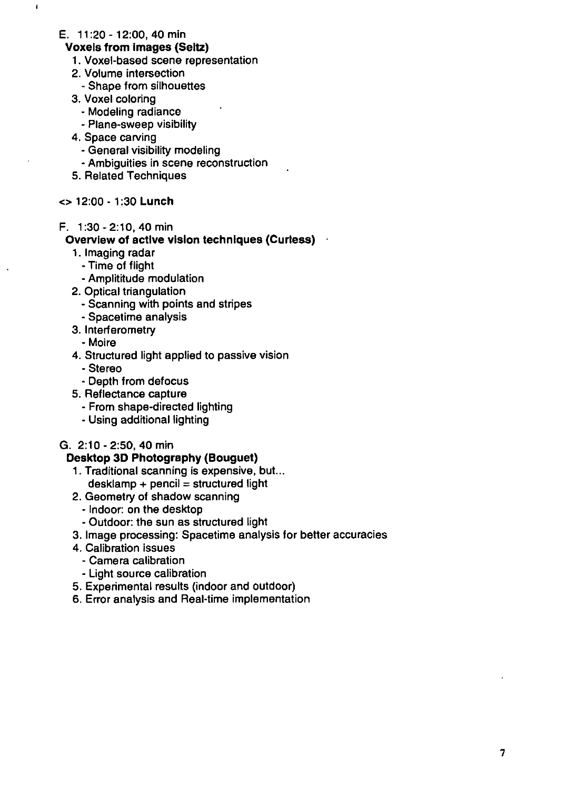E. 11 :20 - 12:00, 40 min

 $\mathbf{I}$ 

#### **Voxels from Images (Seltz)**

- 1. Voxel-based scene representation
- 2. Volume intersection
- Shape from silhouettes
- 3. Voxel coloring
	- Modeling radiance
	- Plane-sweep visibility
- 4. Space carving
	- General visibility modeling
	- Ambiguities in scene reconstruction
- 5. Related Techniques
- <> 12:00 1 :30 **Lunch**
- F. 1:30-2:10, 40 min

#### **Overview of active vision techniques (Curless)**

- 1 . Imaging radar
	- Time of flight
	- Amplititude modulation
- 2. Optical triangulation
	- Scanning with points and stripes
	- Spacetime analysis
- 3. Interferometry
- -Moire
- 4. Structured light applied to passive vision
	- -Stereo
	- Depth from defocus
- 5. Reflectance capture
	- From shape-directed lighting
	- Using additional lighting
- G. 2:10-2:50, 40 min

#### **Desktop 3D Photography (Bouguet)**

- 1. Traditional scanning is expensive, but...  $d$ esklamp + pencil = structured light
- 2. Geometry of shadow scanning
	- Indoor: on the desktop
	- Outdoor: the sun as structured light
- 3. Image processing: Spacetime analysis for better accuracies
- 4. Calibration issues
	- -Camera calibration
	- Light source calibration
- 5. Experimental results (indoor and outdoor)
- 6. Error analysis and Real-time implementation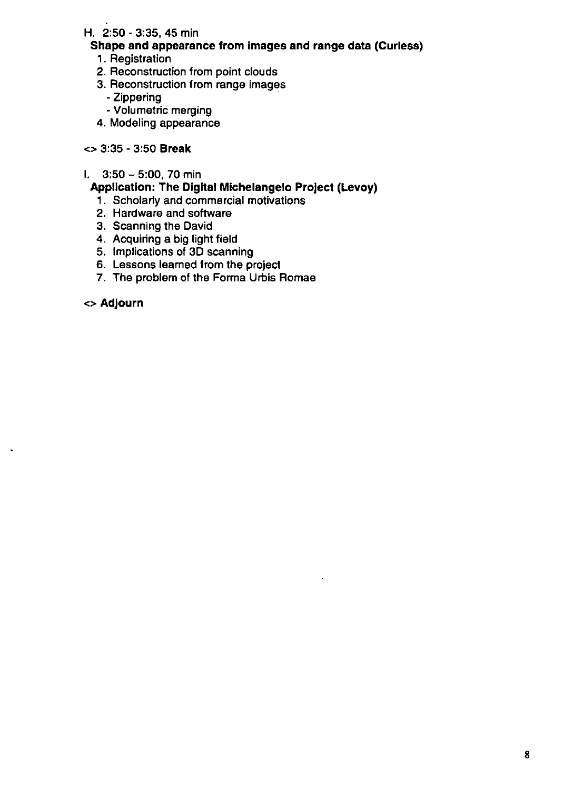## H. 2:50 - 3:35, 45 min

## Shape and appearance from Images and range data (Curless)

- 1 . Registration
- 2. Reconstruction from point clouds
- 3. Reconstruction from range images
	- -Zippering
	- Volumetric merging
- 4. Modeling appearance

## <> 3:35 - 3:50 Break

#### I.  $3:50 - 5:00$ , 70 min

# Application: The Digital Michelangelo Project (Levoy)

- 1. Scholarly and commercial motivations
- 2. Hardware and software
- 3. Scanning the David
- 4. Acquiring a big light field
- 5. Implications of 3D scanning
- 6. Lessons learned from the project
- 7. The problem of the Forma Urbis Romae

<> Adjourn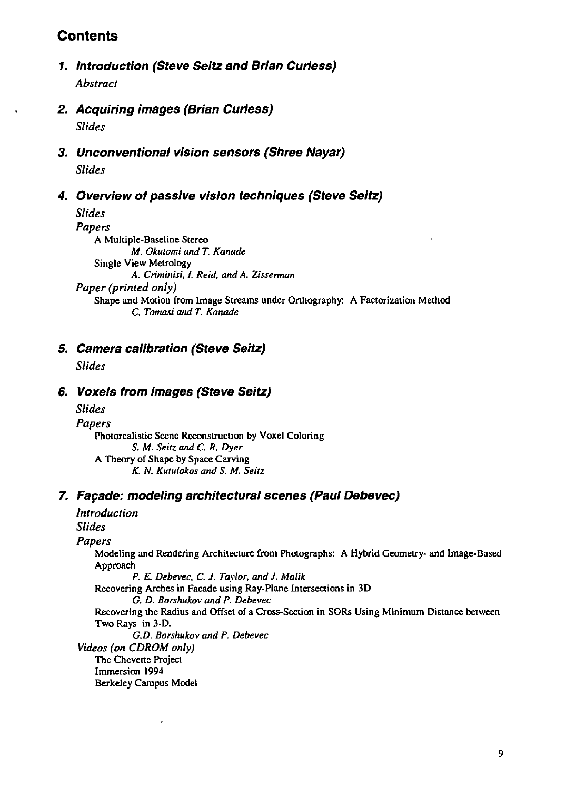# **Contents**

- **1. Introduction (Steve Seitz and Brian Curless)**  *Abstract*
- **2. Acquiring images (Brian Curless)**  *Slides*
- **3. Unconventional vision sensors (Shree Nayar)**  *Slides*

#### **4. Overview of passive vision techniques (Steve Seltz)**

*Slides Papers*  A Multiple-Baseline Stereo *M. Okutomi and T. Kanade*  Single View Metrology A. *Criminisi, I. Reid, and* A. *Zissennan Paper (printed only)*  Shape and Motion from Image Streams under Orthography: A Factorization Method *C. Tomasi* and *T. Kanade* 

## **5. Camera calibration (Steve Seitz)**

*Slides* 

# **6. Voxels from images (Steve Seltz)**

*Slides Papers*  Photorealistic Scene Reconstruction by Voxel Coloring *S. M. Seitz* and *C. R. Dyer*  A Theory of Shape by Space Carving *K.* N. *Kutulakos and* S. *M. Seitz* 

#### **7. Far;ade: modeling architectural scenes (Paul Debevec)**

| Introduction                                                                                                                                      |
|---------------------------------------------------------------------------------------------------------------------------------------------------|
| <b>Slides</b>                                                                                                                                     |
| Papers                                                                                                                                            |
| Modeling and Rendering Architecture from Photographs: A Hybrid Geometry- and Image-Based<br>Approach<br>P. E. Debevec, C. J. Taylor, and J. Malik |
| Recovering Arches in Facade using Ray-Plane Intersections in 3D                                                                                   |
| G. D. Borshukov and P. Debevec                                                                                                                    |
| Recovering the Radius and Offset of a Cross-Section in SORs Using Minimum Distance between                                                        |
| Two Rays in 3-D.                                                                                                                                  |
| G.D. Borshukov and P. Debevec                                                                                                                     |
| Videos (on CDROM only)                                                                                                                            |
| The Chevette Project                                                                                                                              |
| Immersion 1994                                                                                                                                    |
| Berkeley Campus Model                                                                                                                             |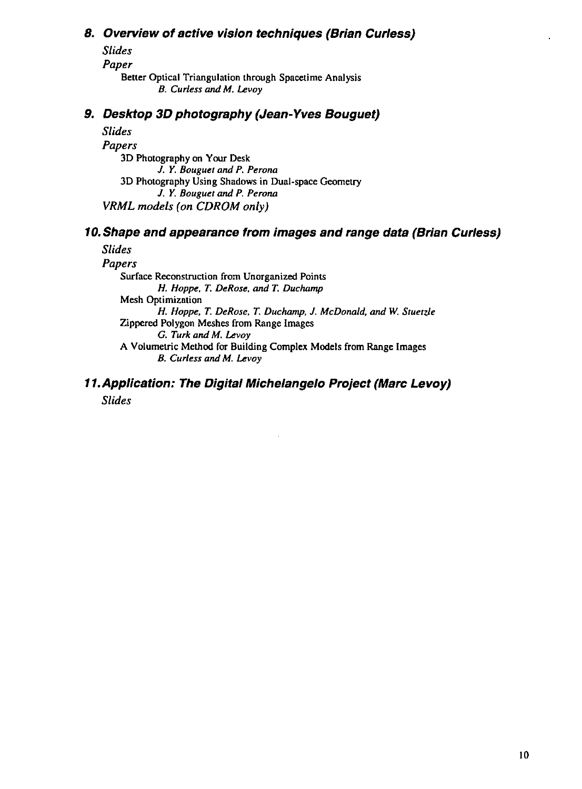# *B.* **Overview of active vision techniques (Brian Curless)**

*Slides Paper*  Better Optical Triangulation through Spacetime Analysis *B. Curless* and *M. Levoy* 

# **9. Desktop 3D photography (Jean-Yves Bouguet)**

*Slides Papers*  3D Photography on Your Desk J. *Y. Bouguet and P. Perona*  3D Photography Using Shadows in Dual-space Geometry J. *Y. Bouguet* and *P. Perona VRML models (on CDROM only)* 

# **10.Shape and appearance from images and range data (Brian Curless)**

# *Slides*

*Papers*  Surface Reconstruction from Unorganized Points *H. Hoppe, T. DeRose,* and *T. Duchamp*  Mesh Optimization *H. Hoppe, T. DeRose, T. Duchamp,* J. *McDonald,* and *W. Stuetzle*  Zippered Polygon Meshes from Range Images *G. Turk and M. Levay*  A Volumetric Method for Building Complex Models from Range Images *B. Curless and M. Levay* 

# **11.Appllcation: The Digital Michelangelo Project (Marc Levay)**  *Slides*